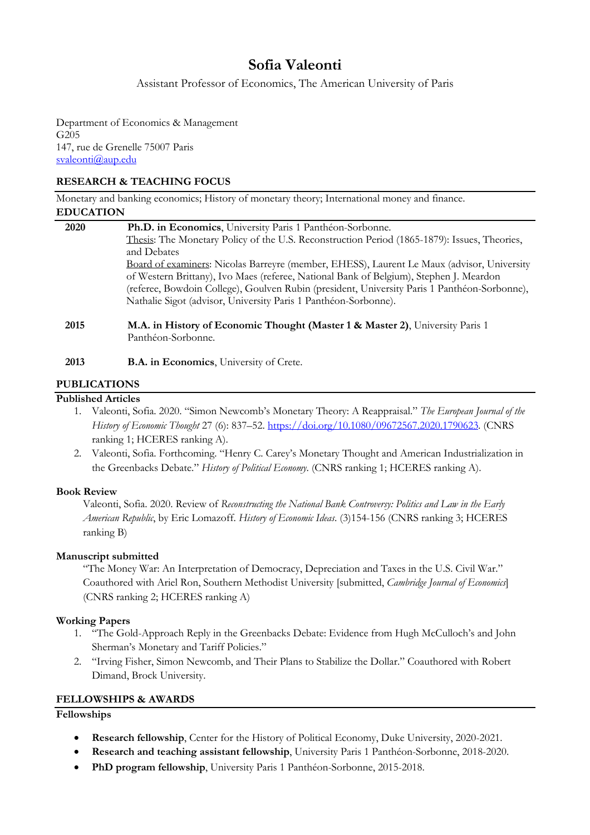# **Sofia Valeonti**

Assistant Professor of Economics, The American University of Paris

Department of Economics & Management G205 147, rue de Grenelle 75007 Paris svaleonti@aup.edu

#### **RESEARCH & TEACHING FOCUS**

Monetary and banking economics; History of monetary theory; International money and finance. **EDUCATION**

| 2020 | Ph.D. in Economics, University Paris 1 Panthéon-Sorbonne.                                           |
|------|-----------------------------------------------------------------------------------------------------|
|      | Thesis: The Monetary Policy of the U.S. Reconstruction Period (1865-1879): Issues, Theories,        |
|      | and Debates                                                                                         |
|      | Board of examiners: Nicolas Barreyre (member, EHESS), Laurent Le Maux (advisor, University          |
|      | of Western Brittany), Ivo Maes (referee, National Bank of Belgium), Stephen J. Meardon              |
|      | (referee, Bowdoin College), Goulven Rubin (president, University Paris 1 Panthéon-Sorbonne),        |
|      | Nathalie Sigot (advisor, University Paris 1 Panthéon-Sorbonne).                                     |
| 2015 | M.A. in History of Economic Thought (Master 1 & Master 2), University Paris 1<br>Panthéon-Sorbonne. |

**2013 B.A. in Economics**, University of Crete.

## **PUBLICATIONS**

## **Published Articles**

- 1. Valeonti, Sofia. 2020. "Simon Newcomb's Monetary Theory: A Reappraisal." *The European Journal of the History of Economic Thought* 27 (6): 837–52. https://doi.org/10.1080/09672567.2020.1790623. (CNRS ranking 1; HCERES ranking A).
- 2. Valeonti, Sofia. Forthcoming. "Henry C. Carey's Monetary Thought and American Industrialization in the Greenbacks Debate." *History of Political Economy*. (CNRS ranking 1; HCERES ranking A).

## **Book Review**

Valeonti, Sofia. 2020. Review of *Reconstructing the National Bank Controversy: Politics and Law in the Early American Republic*, by Eric Lomazoff. *History of Economic Ideas*. (3)154-156 (CNRS ranking 3; HCERES ranking B)

## **Manuscript submitted**

"The Money War: An Interpretation of Democracy, Depreciation and Taxes in the U.S. Civil War." Coauthored with Ariel Ron, Southern Methodist University [submitted, *Cambridge Journal of Economics*] (CNRS ranking 2; HCERES ranking A)

## **Working Papers**

- 1. "The Gold-Approach Reply in the Greenbacks Debate: Evidence from Hugh McCulloch's and John Sherman's Monetary and Tariff Policies."
- 2. "Irving Fisher, Simon Newcomb, and Their Plans to Stabilize the Dollar." Coauthored with Robert Dimand, Brock University.

## **FELLOWSHIPS & AWARDS**

#### **Fellowships**

- **Research fellowship**, Center for the History of Political Economy, Duke University, 2020-2021.
- **Research and teaching assistant fellowship**, University Paris 1 Panthéon-Sorbonne, 2018-2020.
- **PhD program fellowship**, University Paris 1 Panthéon-Sorbonne, 2015-2018.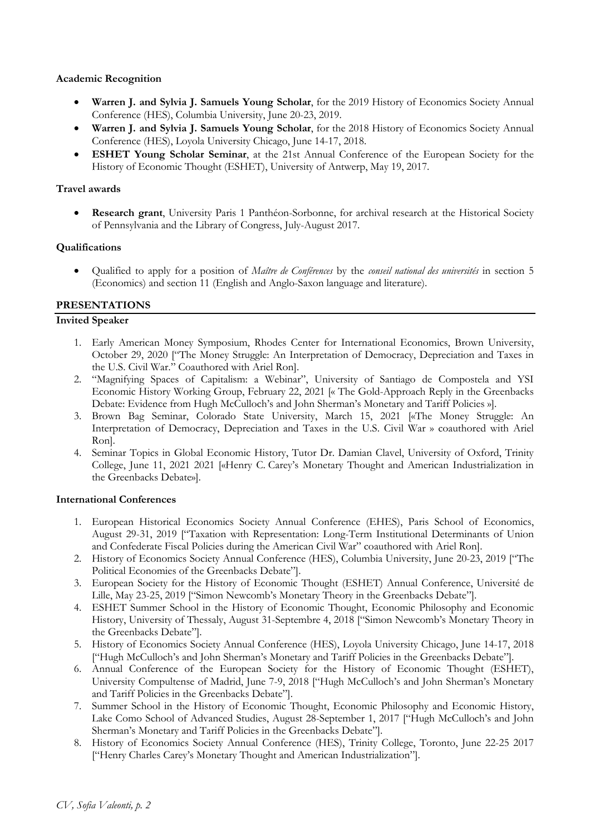#### **Academic Recognition**

- **Warren J. and Sylvia J. Samuels Young Scholar**, for the 2019 History of Economics Society Annual Conference (HES), Columbia University, June 20-23, 2019.
- **Warren J. and Sylvia J. Samuels Young Scholar**, for the 2018 History of Economics Society Annual Conference (HES), Loyola University Chicago, June 14-17, 2018.
- **ESHET Young Scholar Seminar**, at the 21st Annual Conference of the European Society for the History of Economic Thought (ESHET), University of Antwerp, May 19, 2017.

#### **Travel awards**

• **Research grant**, University Paris 1 Panthéon-Sorbonne, for archival research at the Historical Society of Pennsylvania and the Library of Congress, July-August 2017.

#### **Qualifications**

• Qualified to apply for a position of *Maître de Conférences* by the *conseil national des universités* in section 5 (Economics) and section 11 (English and Anglo-Saxon language and literature).

## **PRESENTATIONS**

## **Invited Speaker**

- 1. Early American Money Symposium, Rhodes Center for International Economics, Brown University, October 29, 2020 ["The Money Struggle: An Interpretation of Democracy, Depreciation and Taxes in the U.S. Civil War." Coauthored with Ariel Ron].
- 2. "Magnifying Spaces of Capitalism: a Webinar", University of Santiago de Compostela and YSI Economic History Working Group, February 22, 2021 [« The Gold-Approach Reply in the Greenbacks Debate: Evidence from Hugh McCulloch's and John Sherman's Monetary and Tariff Policies »].
- 3. Brown Bag Seminar, Colorado State University, March 15, 2021 [«The Money Struggle: An Interpretation of Democracy, Depreciation and Taxes in the U.S. Civil War » coauthored with Ariel Ron].
- 4. Seminar Topics in Global Economic History, Tutor Dr. Damian Clavel, University of Oxford, Trinity College, June 11, 2021 2021 [«Henry C. Carey's Monetary Thought and American Industrialization in the Greenbacks Debate»].

#### **International Conferences**

- 1. European Historical Economics Society Annual Conference (EHES), Paris School of Economics, August 29-31, 2019 ["Taxation with Representation: Long-Term Institutional Determinants of Union and Confederate Fiscal Policies during the American Civil War" coauthored with Ariel Ron].
- 2. History of Economics Society Annual Conference (HES), Columbia University, June 20-23, 2019 ["The Political Economies of the Greenbacks Debate"].
- 3. European Society for the History of Economic Thought (ESHET) Annual Conference, Université de Lille, May 23-25, 2019 ["Simon Newcomb's Monetary Theory in the Greenbacks Debate"].
- 4. ESHET Summer School in the History of Economic Thought, Economic Philosophy and Economic History, University of Thessaly, August 31-Septembre 4, 2018 ["Simon Newcomb's Monetary Theory in the Greenbacks Debate"].
- 5. History of Economics Society Annual Conference (HES), Loyola University Chicago, June 14-17, 2018 ["Hugh McCulloch's and John Sherman's Monetary and Tariff Policies in the Greenbacks Debate"].
- 6. Annual Conference of the European Society for the History of Economic Thought (ESHET), University Compultense of Madrid, June 7-9, 2018 ["Hugh McCulloch's and John Sherman's Monetary and Tariff Policies in the Greenbacks Debate"].
- 7. Summer School in the History of Economic Thought, Economic Philosophy and Economic History, Lake Como School of Advanced Studies, August 28-September 1, 2017 ["Hugh McCulloch's and John Sherman's Monetary and Tariff Policies in the Greenbacks Debate"].
- 8. History of Economics Society Annual Conference (HES), Trinity College, Toronto, June 22-25 2017 ["Henry Charles Carey's Monetary Thought and American Industrialization"].